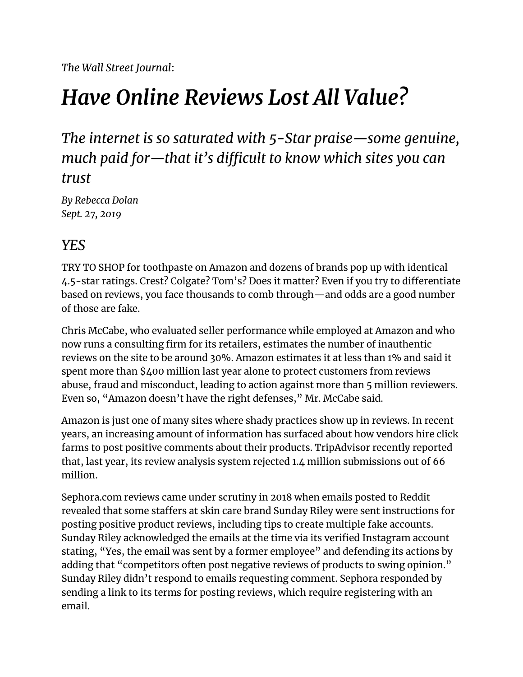*The Wall Street Journal*:

# *Have Online Reviews Lost All Value?*

### *The internet is so saturated with 5-Star praise—some genuine, much paid for—that it's difficult to know which sites you can trust*

*By Rebecca Dolan Sept. 27, 2019*

### *YES*

TRY TO SHOP for toothpaste on Amazon and dozens of brands pop up with identical 4.5-star ratings. Crest? Colgate? Tom's? Does it matter? Even if you try to differentiate based on reviews, you face thousands to comb through—and odds are a good number of those are fake.

Chris McCabe, who evaluated seller performance while employed at Amazon and who now runs a consulting firm for its retailers, estimates the number of inauthentic reviews on the site to be around 30%. Amazon estimates it at less than 1% and said it spent more than \$400 million last year alone to protect customers from reviews abuse, fraud and misconduct, leading to action against more than 5 million reviewers. Even so, "Amazon doesn't have the right defenses," Mr. McCabe said.

Amazon is just one of many sites where shady practices show up in reviews. In recent years, an increasing amount of information has surfaced about how vendors hire click farms to post positive comments about their products. TripAdvisor recently reported that, last year, its review analysis system rejected 1.4 million submissions out of 66 million.

Sephora.com reviews came under scrutiny in 2018 when emails posted to Reddit revealed that some staffers at skin care brand Sunday Riley were sent instructions for posting positive product reviews, including tips to create multiple fake accounts. Sunday Riley acknowledged the emails at the time via its verified Instagram account stating, "Yes, the email was sent by a former employee" and defending its actions by adding that "competitors often post negative reviews of products to swing opinion." Sunday Riley didn't respond to emails requesting comment. Sephora responded by sending a link to its terms for posting reviews, which require registering with an email.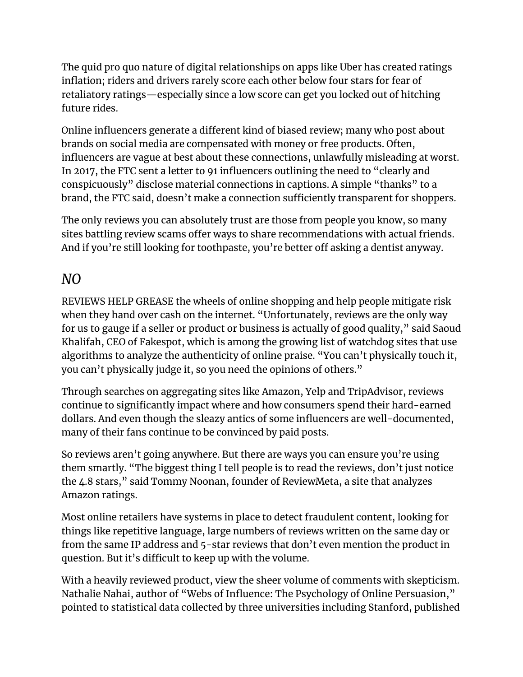The quid pro quo nature of digital relationships on apps like Uber has created ratings inflation; riders and drivers rarely score each other below four stars for fear of retaliatory ratings—especially since a low score can get you locked out of hitching future rides.

Online influencers generate a different kind of biased review; many who post about brands on social media are compensated with money or free products. Often, influencers are vague at best about these connections, unlawfully misleading at worst. In 2017, the FTC sent a letter to 91 influencers outlining the need to "clearly and conspicuously" disclose material connections in captions. A simple "thanks" to a brand, the FTC said, doesn't make a connection sufficiently transparent for shoppers.

The only reviews you can absolutely trust are those from people you know, so many sites battling review scams offer ways to share recommendations with actual friends. And if you're still looking for toothpaste, you're better off asking a dentist anyway.

### *NO*

REVIEWS HELP GREASE the wheels of online shopping and help people mitigate risk when they hand over cash on the internet. "Unfortunately, reviews are the only way for us to gauge if a seller or product or business is actually of good quality," said Saoud Khalifah, CEO of Fakespot, which is among the growing list of watchdog sites that use algorithms to analyze the authenticity of online praise. "You can't physically touch it, you can't physically judge it, so you need the opinions of others."

Through searches on aggregating sites like Amazon, Yelp and TripAdvisor, reviews continue to significantly impact where and how consumers spend their hard-earned dollars. And even though the sleazy antics of some influencers are well-documented, many of their fans continue to be convinced by paid posts.

So reviews aren't going anywhere. But there are ways you can ensure you're using them smartly. "The biggest thing I tell people is to read the reviews, don't just notice the 4.8 stars," said Tommy Noonan, founder of ReviewMeta, a site that analyzes Amazon ratings.

Most online retailers have systems in place to detect fraudulent content, looking for things like repetitive language, large numbers of reviews written on the same day or from the same IP address and 5-star reviews that don't even mention the product in question. But it's difficult to keep up with the volume.

With a heavily reviewed product, view the sheer volume of comments with skepticism. Nathalie Nahai, author of "Webs of Influence: The Psychology of Online Persuasion," pointed to statistical data collected by three universities including Stanford, published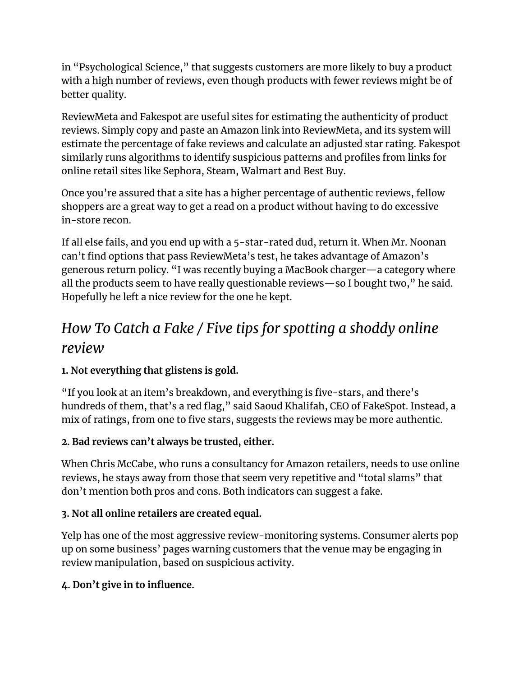in "Psychological Science," that suggests customers are more likely to buy a product with a high number of reviews, even though products with fewer reviews might be of better quality.

ReviewMeta and Fakespot are useful sites for estimating the authenticity of product reviews. Simply copy and paste an Amazon link into ReviewMeta, and its system will estimate the percentage of fake reviews and calculate an adjusted star rating. Fakespot similarly runs algorithms to identify suspicious patterns and profiles from links for online retail sites like Sephora, Steam, Walmart and Best Buy.

Once you're assured that a site has a higher percentage of authentic reviews, fellow shoppers are a great way to get a read on a product without having to do excessive in-store recon.

If all else fails, and you end up with a 5-star-rated dud, return it. When Mr. Noonan can't find options that pass ReviewMeta's test, he takes advantage of Amazon's generous return policy. "I was recently buying a MacBook charger—a category where all the products seem to have really questionable reviews—so I bought two," he said. Hopefully he left a nice review for the one he kept.

## *How To Catch a Fake / Five tips for spotting a shoddy online review*

#### **1. Not everything that glistens is gold.**

"If you look at an item's breakdown, and everything is five-stars, and there's hundreds of them, that's a red flag," said Saoud Khalifah, CEO of FakeSpot. Instead, a mix of ratings, from one to five stars, suggests the reviews may be more authentic.

#### **2. Bad reviews can't always be trusted, either.**

When Chris McCabe, who runs a consultancy for Amazon retailers, needs to use online reviews, he stays away from those that seem very repetitive and "total slams" that don't mention both pros and cons. Both indicators can suggest a fake.

#### **3. Not all online retailers are created equal.**

Yelp has one of the most aggressive review-monitoring systems. Consumer alerts pop up on some business' pages warning customers that the venue may be engaging in review manipulation, based on suspicious activity.

#### **4. Don't give in to influence.**